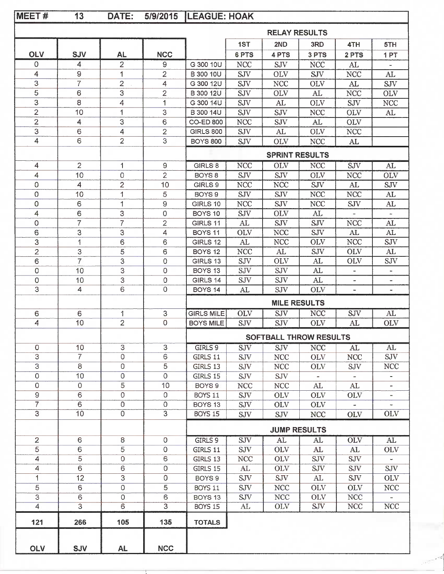| MEET#                   | 13              | DATE:          | 5/9/2015            | <b>LEAGUE: HOAK</b>   |            |                               |            |                |                          |
|-------------------------|-----------------|----------------|---------------------|-----------------------|------------|-------------------------------|------------|----------------|--------------------------|
|                         |                 |                |                     |                       |            | <b>RELAY RESULTS</b>          |            |                |                          |
|                         |                 |                |                     |                       | 1ST        | 2ND                           | 3RD        | 4TH            | 5TH                      |
| <b>OLV</b>              | <b>SJV</b>      | <b>AL</b>      | <b>NCC</b>          |                       | 6 PTS      | 4 PTS                         | 3 PTS      | 2 PTS          | 1PT                      |
| 0                       | 4               | $\overline{2}$ | 9                   | G 300 10U             | <b>NCC</b> | <b>SJV</b>                    | <b>NCC</b> | AL             |                          |
| 4                       | 9               | 1              | 2                   | <b>B 300 10U</b>      | <b>SJV</b> | <b>OLV</b>                    | <b>SJV</b> | <b>NCC</b>     | AL                       |
| 3                       | 7               | $\overline{2}$ | 4                   | G 300 12U             | SJV        | <b>NCC</b>                    | <b>OLV</b> | AL             | <b>SJV</b>               |
| 5                       | 6               | 3              | 2                   | <b>B</b> 300 12U      | <b>SJV</b> | <b>OLV</b>                    | AL         | <b>NCC</b>     | <b>OLV</b>               |
| 3                       | 8               | $\overline{4}$ | 1                   | G 300 14U             | SJV        | AL                            | <b>OLV</b> | <b>SJV</b>     | <b>NCC</b>               |
| 2                       | 10              | 1              | 3                   | <b>B</b> 300 14U      | <b>SJV</b> | SJV                           | <b>NCC</b> | <b>OLV</b>     | AL                       |
| $\overline{\mathbf{c}}$ | 4               | 3              | $6\phantom{1}6$     | <b>CO-ED 800</b>      | <b>NCC</b> | <b>SJV</b>                    | AL         | <b>OLV</b>     |                          |
| 3                       | 6               | 4              | $\overline{2}$      | <b>GIRLS 800</b>      | <b>SJV</b> | AL                            | <b>OLV</b> | <b>NCC</b>     |                          |
| 4                       | 6               | $\overline{2}$ | 3                   | <b>BOYS 800</b>       | SJV        | <b>OLV</b>                    | <b>NCC</b> | AL             |                          |
|                         |                 |                |                     | <b>SPRINT RESULTS</b> |            |                               |            |                |                          |
| 4                       | $\overline{2}$  | 1              | 9                   | GIRLS 8               | <b>NCC</b> | <b>OLV</b>                    | <b>NCC</b> | SJV            | AL                       |
| 4                       | 10              | 0              | 2                   | BOYS <sub>8</sub>     | <b>SJV</b> | SJV                           | <b>OLV</b> | <b>NCC</b>     | <b>OLV</b>               |
| 0                       | 4               | $\overline{2}$ | 10                  | GIRLS 9               | <b>NCC</b> | <b>NCC</b>                    | <b>SJV</b> | AL             | <b>SJV</b>               |
| 0                       | 10              | 1              | 5                   | BOYS <sub>9</sub>     | <b>SJV</b> | <b>SJV</b>                    | <b>NCC</b> | <b>NCC</b>     | AL                       |
| 0                       | 6               | 1              | 9                   | GIRLS 10              | <b>NCC</b> | <b>SJV</b>                    | <b>NCC</b> | <b>SJV</b>     | AL                       |
| 4                       | 6               | 3              | 0                   | BOYS <sub>10</sub>    | <b>SJV</b> | <b>OLV</b>                    | AL         |                | $\rightarrow$            |
| 0                       | $\overline{7}$  | $\overline{7}$ | 2                   | GIRLS 11              | AL         | <b>SJV</b>                    | <b>SJV</b> | <b>NCC</b>     | AL                       |
| 6                       | 3               | 3              | 4                   | BOYS <sub>11</sub>    | <b>OLV</b> | <b>NCC</b>                    | <b>SJV</b> | AL             | AL                       |
| 3                       | 1               | 6              | 6                   | GIRLS 12              | AL         | <b>NCC</b>                    | <b>OLV</b> | <b>NCC</b>     | <b>SJV</b>               |
| 2                       | 3               | 5              | 6                   | <b>BOYS 12</b>        | <b>NCC</b> | AL                            | <b>SJV</b> | <b>OLV</b>     | AL                       |
| 6                       | $\overline{7}$  | 3              | 0                   | GIRLS 13              | SJV        | OLV                           | AL         | <b>OLV</b>     | <b>SJV</b>               |
| 0                       | 10              | 3              | $\Omega$            | <b>BOYS 13</b>        | SJV        | <b>SJV</b>                    | AL         | $\blacksquare$ | ä,                       |
| 0                       | 10              | 3              | 0                   | GIRLS 14              | <b>SJV</b> | <b>SJV</b>                    | AL         |                |                          |
| 3                       | $\overline{4}$  | 6              | $\overline{0}$      | BOYS 14               | AL         | SJV                           | <b>OLV</b> |                | $\overline{\phantom{a}}$ |
|                         |                 |                |                     |                       |            | <b>MILE RESULTS</b>           |            |                |                          |
| 6                       | 6               | 1              | 3                   | <b>GIRLS MILE</b>     | <b>OLV</b> | <b>SJV</b>                    | <b>NCC</b> | SJV            | AL                       |
| 4                       | 10              | $\overline{2}$ | $\Omega$            | <b>BOYS MILE</b>      | <b>SJV</b> | <b>SJV</b>                    | <b>OLV</b> | AL             | <b>OLV</b>               |
|                         |                 |                |                     |                       |            | <b>SOFTBALL THROW RESULTS</b> |            |                |                          |
| $\circ$                 | 10              | $\overline{3}$ | $\overline{3}$      | GIRLS 9               | SJV        | SJV                           | <b>NCC</b> | AL             | AL                       |
| $\overline{3}$          | $\overline{7}$  | 0              | 6                   | GIRLS 11              | <b>SJV</b> | <b>NCC</b>                    | <b>OLV</b> | <b>NCC</b>     | SJV                      |
| $\overline{3}$          | 8               | 0              | 5                   | GIRLS 13              | SJV        | <b>NCC</b>                    | <b>OLV</b> | SJV            | NCC                      |
| 0                       | 10              | 0              | $\circ$             | <b>GIRLS 15</b>       | <b>SJV</b> | SJV                           |            |                |                          |
| $\mathbf 0$             | 0               | 5              | 10                  | BOYS 9                | <b>NCC</b> | <b>NCC</b>                    | AL         | AL             |                          |
| 9                       | 6               | 0              | 0                   | BOYS 11               | <b>SJV</b> | <b>OLV</b>                    | <b>OLV</b> | <b>OLV</b>     | $\overline{\phantom{a}}$ |
| $\overline{7}$          | 6               | $\overline{O}$ | 0                   | BOYS <sub>13</sub>    | <b>SJV</b> | <b>OLV</b>                    | <b>OLV</b> |                | $\overline{\phantom{a}}$ |
| $\overline{3}$          | 10 <sup>1</sup> | $\overline{0}$ | $\overline{3}$      | <b>BOYS 15</b>        | <b>SJV</b> | <b>SJV</b>                    | <b>NCC</b> | <b>OLV</b>     | OLV                      |
|                         |                 |                |                     |                       |            | <b>JUMP RESULTS</b>           |            |                |                          |
| $\overline{2}$          | 6               | 8              | $\circ$             | GIRLS 9               | SJV        | AL.                           | AL         | <b>OLV</b>     | AL                       |
| 5                       | 6               | 5              | 0                   | GIRLS 11              | <b>SJV</b> | <b>OLV</b>                    | AL         | AL             | <b>OLV</b>               |
| $\overline{4}$          | $\overline{5}$  | $\mathbf 0$    | 6                   | GIRLS 13              | <b>NCC</b> | <b>OLV</b>                    | SJV        | <b>SJV</b>     |                          |
| $\overline{4}$          | 6               | 6              | $\mathsf{O}\xspace$ | GIRLS 15              | AL         | <b>OLV</b>                    | <b>SJV</b> | <b>SJV</b>     | <b>SJV</b>               |
| 1                       | 12              | 3              | $\mathsf 0$         | BOYS 9                | SJV        | SJV                           | AL         | <b>SJV</b>     | <b>OLV</b>               |
| 5                       | 6               | $\circ$        | 5                   | <b>BOYS 11</b>        | <b>SJV</b> | <b>NCC</b>                    | <b>OLV</b> | <b>OLV</b>     | <b>NCC</b>               |
| $\mathbf{3}$            | 6               | 0              | $\mathbf 6$         | BOYS <sub>13</sub>    | <b>SJV</b> | <b>NCC</b>                    | <b>OLV</b> | <b>NCC</b>     |                          |
| $\overline{4}$          | $\overline{3}$  | $\overline{6}$ | $\overline{3}$      | <b>BOYS 15</b>        | AL         | <b>OLV</b>                    | <b>SJV</b> | <b>NCC</b>     | <b>NCC</b>               |
| $121$                   | 266             | 105            | 135                 | <b>TOTALS</b>         |            |                               |            |                |                          |
|                         |                 |                |                     |                       |            |                               |            |                |                          |
| OLV                     | <b>SJV</b>      | <b>AL</b>      | <b>NCC</b>          |                       |            |                               |            |                |                          |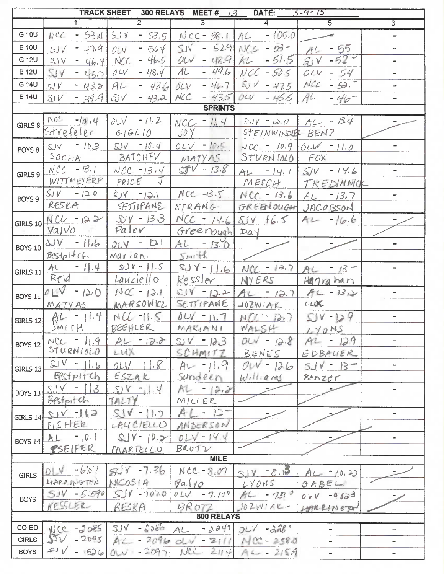| TRACK SHEET 300 RELAYS MEET # 13 DATE: 5-9-15 |                             |                          |                                                 |                                     |                       |                              |  |  |
|-----------------------------------------------|-----------------------------|--------------------------|-------------------------------------------------|-------------------------------------|-----------------------|------------------------------|--|--|
|                                               | $\top$                      | $\overline{2}$           | $\overline{3}$                                  | $\overline{4}$                      | $\overline{5}$        | $\overline{6}$               |  |  |
| G 10U                                         |                             |                          | $ NCC - 534 $ SJV - 53.5   NCC-58.1   AL -105.0 |                                     |                       | $\equiv$                     |  |  |
| <b>B</b> 10U                                  | $-47.9$<br>SV               | $0.14 - 504$             |                                                 | $SUV - 52.91NC6 - 53 - 1$           | $AC - 55$             | u,                           |  |  |
| G 12U                                         | $-46.4$ NCC<br>V(Z)         | $-46.5$                  | $OV - 48.9$                                     | $-51.5$<br>AL                       | $SV - 52$             | $\blacksquare$               |  |  |
| <b>B</b> 12U                                  | <b>SIV</b><br>$-450$        | OLV<br>$-48.4$           | $-49.6$<br>A                                    | $NCC - 505$                         | $OLV - 54$            | $\overline{\phantom{0}}$     |  |  |
| G 14U                                         | $-43.2$ AL<br>SV            | $-436$                   | 5LV                                             | $-46.7$ SJV $-47.5$ NCC $-50.7$     |                       |                              |  |  |
| <b>B</b> 14U                                  | SV<br>$-39.9$               | SV<br>$-43,2$            | MCC<br>$-43.5004V$                              | $-46.5$ $Al$                        | $-46-$                |                              |  |  |
| <b>SPRINTS</b>                                |                             |                          |                                                 |                                     |                       |                              |  |  |
| GIRLS 8                                       | $Ncc - 10.4$                | $011 - 112$              |                                                 | $NCC = 11.4$ $SV = 12.0$ $AC = 134$ |                       |                              |  |  |
|                                               | Strefeler                   | GIGLIO                   | $J\delta Y$                                     | STEINWINDLER BENZ                   |                       |                              |  |  |
| BOYS 8                                        | $SV = 103$                  | $SV = 10.4$              | $01V - 10.5$                                    | $NCC = 10.9$ 0 LV = 11.0            |                       |                              |  |  |
|                                               | SochA                       | BATCHEV                  | MATYAS                                          | STURNIOLD FOX                       |                       |                              |  |  |
| GIRLS 9                                       | $NCL - 13.1$                | $NCC - 13.4$             | $STV - 13.8$                                    |                                     | $AL = 14.1$ SV - 14.6 |                              |  |  |
|                                               | WITTMEYERP                  | $PRICE$ $J$              |                                                 |                                     | MESCH   TREDINNICK    |                              |  |  |
| BOYS 9                                        | $S/V - 120$                 | $1.61 - Y(s)$            | $NCC - 13.5$ $NCC - 13.6$ $AL - 13.7$           |                                     |                       |                              |  |  |
|                                               | RESKA                       | SETTIPANE                |                                                 | STRANG GREENOUGH JACOBSON           |                       |                              |  |  |
|                                               | GIRLS 10 $NCL$ - 122        | $SV - 133$               | $NCC - 14.6$                                    | $S/V$ $16.5$                        | $AU - 16.6$           |                              |  |  |
|                                               | VaIVO                       | Paler                    | Greenough Day                                   |                                     |                       |                              |  |  |
| <b>BOYS 10</b>                                | $UV$ -11.6                  | $OLV - D1$               | $Al - 13.0$                                     |                                     |                       | ÷.                           |  |  |
|                                               | $Bcsfp + ch$                | marian.                  | $5m+k$                                          |                                     |                       |                              |  |  |
| GIRLS $11$                                    | $AL = 1.4$                  | $SV - 11.5$              |                                                 | $SJY - 11.6$ $MCC - 10.7$           | $AC - 13 -$           |                              |  |  |
|                                               | Reid                        | Lauciello                | Kessler                                         | NYERS                               | Hagrahan              |                              |  |  |
| <b>BOYS 11</b>                                | $01V - 120 N4C - 121$       |                          |                                                 | $SUV - 12 -  AC - 12.7 AC - 13.2$   |                       |                              |  |  |
|                                               | MAYAS                       | MARSOWICZ                |                                                 | SETTIPANE JOZWIAK                   | LUV                   |                              |  |  |
| <b>GIRLS 12</b>                               | $AL - 11.4$                 | $NCL$ -11.5              |                                                 | $01V - 11.7  NCC - 12.7 $           | $SV-129$              |                              |  |  |
|                                               | SMITH                       | BEEHLER                  | MARIANI WALSH                                   |                                     | LY0MS                 |                              |  |  |
| <b>BOYS 12</b>                                | $NC - 11.9$                 | $AL - 12.8$              | $SV - 123$                                      | $014 - 12.8$                        | $AU - 129$            |                              |  |  |
|                                               | STURNIOLO                   | LUX                      | SCHMITZ                                         | BENES                               | EDBAUER               |                              |  |  |
| GIRLS $13$                                    | $SUV - 116$                 | $011 - 118$              | $Ar - 11.9$                                     | $01V - 126$                         | $5JV - B$             | $\bar{a}$                    |  |  |
|                                               | Bestpitch                   | ESZAK                    | sundeen                                         | Williams                            | Benzer                |                              |  |  |
| <b>BOYS 13</b><br><b>GIRLS 14</b>             | $SJV - 13$                  | $S[Y - 11.4]$            | $AU = 12.2$                                     |                                     |                       |                              |  |  |
|                                               | Bestpitch                   | TALTY                    | MILLER<br>$AL - 12 -$                           |                                     |                       |                              |  |  |
|                                               | $G  -\gamma_{12}$<br>FISHER | $S11 - 117$<br>LAUCIELLO | ANDERSON                                        |                                     |                       | $\qquad \qquad \blacksquare$ |  |  |
|                                               | $AL - 10.1$                 | $QV - 10.2$              | $0LV - 14.4$                                    |                                     |                       |                              |  |  |
| <b>BOYS 14</b>                                | PSEIFER                     | MARTELLO                 | BO012                                           |                                     |                       |                              |  |  |
| <b>MILE</b>                                   |                             |                          |                                                 |                                     |                       |                              |  |  |
|                                               | $0!1 - 607$                 | $S\sqrt{V} - 7.36$       | $NCC - 8.07$                                    | $\xi_{1.5}$ - YLE                   | $AL = 10.23$          |                              |  |  |
| <b>GIRLS</b>                                  | HARR INGTON                 | NICOSIA                  | $9a\sqrt{0}$                                    | LYONS                               | GABEL,                |                              |  |  |
| <b>BOYS</b>                                   | $51V - 5.590$               | $SIV - 7070$             | $011 - 7.100$                                   | $AL - 73!$                          | $0VV - 9633$          |                              |  |  |
|                                               | KESSLER                     | RESKA                    | BR072                                           | J02W1AU                             | HARRINGTON            |                              |  |  |
| 800 RELAYS                                    |                             |                          |                                                 |                                     |                       |                              |  |  |
| $CO-ED$                                       | 2805-2011                   | $304 - 2086$             | $-2247$<br>AL                                   | $011 - 228$                         |                       | $\overline{\phantom{a}}$     |  |  |
| <b>GIRLS</b>                                  | $-2095$<br>35V              | $AC - 2096$              | $0-v - 2111$                                    | $MCC - 2580$                        |                       |                              |  |  |
| <b>BOYS</b>                                   | $V =$<br>$-1526$            | $011 - 2097$             | $MCC - 2H4$                                     | $A = -2157$                         |                       | $\qquad \qquad \blacksquare$ |  |  |